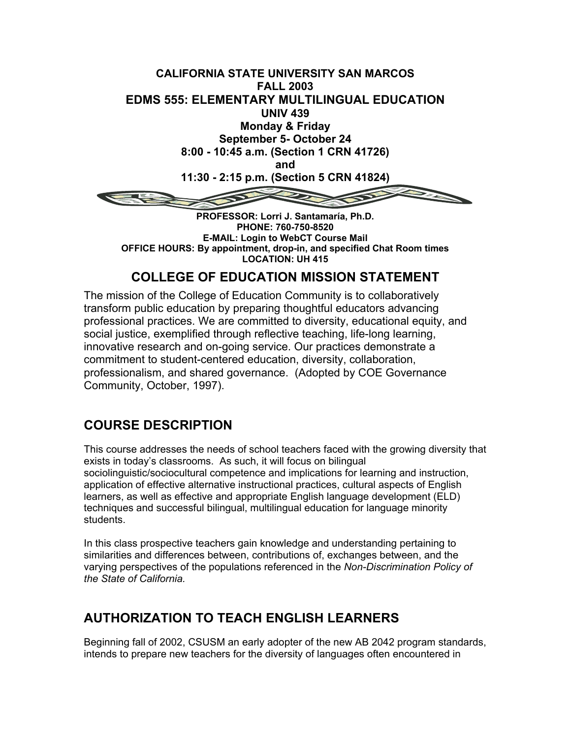

**PHONE: 760-750-8520 E-MAIL: Login to WebCT Course Mail OFFICE HOURS: By appointment, drop-in, and specified Chat Room times LOCATION: UH 415**

## **COLLEGE OF EDUCATION MISSION STATEMENT**

The mission of the College of Education Community is to collaboratively transform public education by preparing thoughtful educators advancing professional practices. We are committed to diversity, educational equity, and social justice, exemplified through reflective teaching, life-long learning, innovative research and on-going service. Our practices demonstrate a commitment to student-centered education, diversity, collaboration, professionalism, and shared governance. (Adopted by COE Governance Community, October, 1997).

## **COURSE DESCRIPTION**

This course addresses the needs of school teachers faced with the growing diversity that exists in today's classrooms. As such, it will focus on bilingual sociolinguistic/sociocultural competence and implications for learning and instruction, application of effective alternative instructional practices, cultural aspects of English learners, as well as effective and appropriate English language development (ELD) techniques and successful bilingual, multilingual education for language minority students.

In this class prospective teachers gain knowledge and understanding pertaining to similarities and differences between, contributions of, exchanges between, and the varying perspectives of the populations referenced in the *Non-Discrimination Policy of the State of California.*

## **AUTHORIZATION TO TEACH ENGLISH LEARNERS**

Beginning fall of 2002, CSUSM an early adopter of the new AB 2042 program standards, intends to prepare new teachers for the diversity of languages often encountered in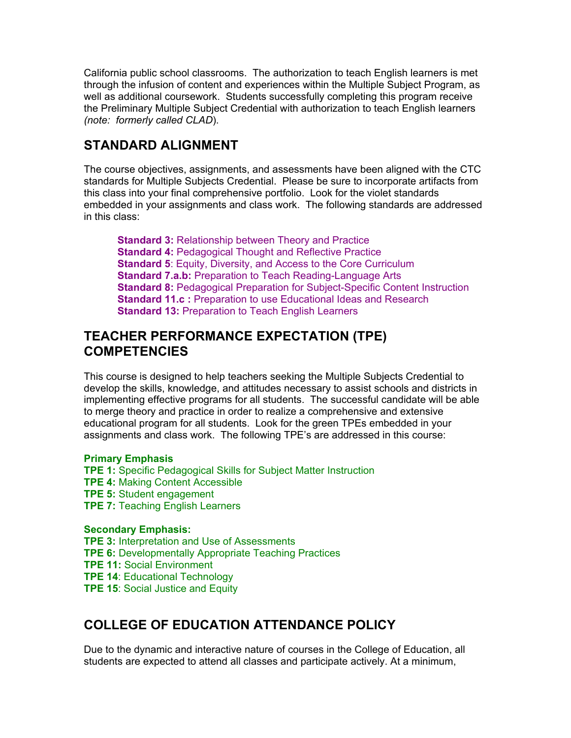California public school classrooms. The authorization to teach English learners is met through the infusion of content and experiences within the Multiple Subject Program, as well as additional coursework. Students successfully completing this program receive the Preliminary Multiple Subject Credential with authorization to teach English learners *(note: formerly called CLAD*).

## **STANDARD ALIGNMENT**

The course objectives, assignments, and assessments have been aligned with the CTC standards for Multiple Subjects Credential. Please be sure to incorporate artifacts from this class into your final comprehensive portfolio. Look for the violet standards embedded in your assignments and class work. The following standards are addressed in this class:

**Standard 3: Relationship between Theory and Practice Standard 4: Pedagogical Thought and Reflective Practice Standard 5: Equity, Diversity, and Access to the Core Curriculum Standard 7.a.b:** Preparation to Teach Reading-Language Arts **Standard 8:** Pedagogical Preparation for Subject-Specific Content Instruction **Standard 11.c :** Preparation to use Educational Ideas and Research **Standard 13:** Preparation to Teach English Learners

## **TEACHER PERFORMANCE EXPECTATION (TPE) COMPETENCIES**

This course is designed to help teachers seeking the Multiple Subjects Credential to develop the skills, knowledge, and attitudes necessary to assist schools and districts in implementing effective programs for all students. The successful candidate will be able to merge theory and practice in order to realize a comprehensive and extensive educational program for all students. Look for the green TPEs embedded in your assignments and class work. The following TPE's are addressed in this course:

#### **Primary Emphasis**

**TPE 1:** Specific Pedagogical Skills for Subject Matter Instruction **TPE 4:** Making Content Accessible **TPE 5:** Student engagement **TPE 7: Teaching English Learners** 

#### **Secondary Emphasis:**

**TPE 3:** Interpretation and Use of Assessments **TPE 6:** Developmentally Appropriate Teaching Practices **TPE 11:** Social Environment **TPE 14**: Educational Technology **TPE 15: Social Justice and Equity** 

## **COLLEGE OF EDUCATION ATTENDANCE POLICY**

Due to the dynamic and interactive nature of courses in the College of Education, all students are expected to attend all classes and participate actively. At a minimum,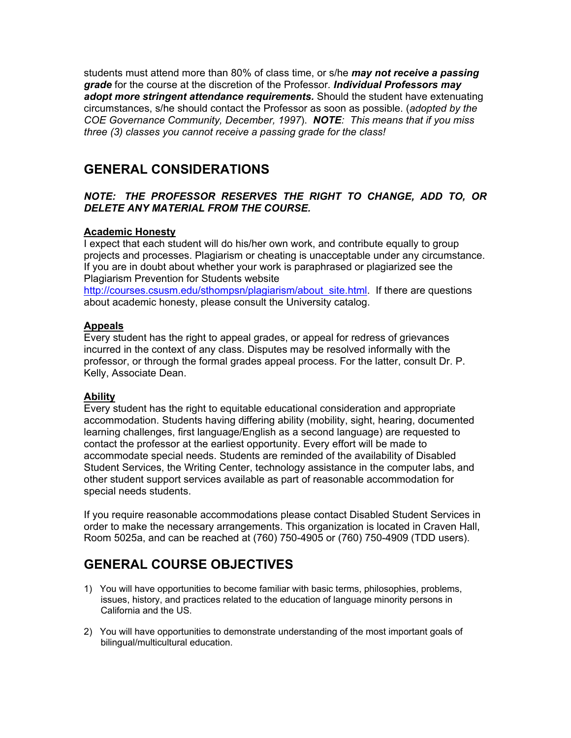students must attend more than 80% of class time, or s/he *may not receive a passing grade* for the course at the discretion of the Professor*. Individual Professors may adopt more stringent attendance requirements.* Should the student have extenuating circumstances, s/he should contact the Professor as soon as possible. (*adopted by the COE Governance Community, December, 1997*). *NOTE: This means that if you miss three (3) classes you cannot receive a passing grade for the class!*

## **GENERAL CONSIDERATIONS**

#### *NOTE: THE PROFESSOR RESERVES THE RIGHT TO CHANGE, ADD TO, OR DELETE ANY MATERIAL FROM THE COURSE.*

#### **Academic Honesty**

I expect that each student will do his/her own work, and contribute equally to group projects and processes. Plagiarism or cheating is unacceptable under any circumstance. If you are in doubt about whether your work is paraphrased or plagiarized see the Plagiarism Prevention for Students website

[http://courses.csusm.edu/sthompsn/plagiarism/about\\_site.html.](http://courses.csusm.edu/sthompsn/plagiarism/about_site.html) If there are questions about academic honesty, please consult the University catalog.

#### **Appeals**

Every student has the right to appeal grades, or appeal for redress of grievances incurred in the context of any class. Disputes may be resolved informally with the professor, or through the formal grades appeal process. For the latter, consult Dr. P. Kelly, Associate Dean.

#### **Ability**

Every student has the right to equitable educational consideration and appropriate accommodation. Students having differing ability (mobility, sight, hearing, documented learning challenges, first language/English as a second language) are requested to contact the professor at the earliest opportunity. Every effort will be made to accommodate special needs. Students are reminded of the availability of Disabled Student Services, the Writing Center, technology assistance in the computer labs, and other student support services available as part of reasonable accommodation for special needs students.

If you require reasonable accommodations please contact Disabled Student Services in order to make the necessary arrangements. This organization is located in Craven Hall, Room 5025a, and can be reached at (760) 750-4905 or (760) 750-4909 (TDD users).

## **GENERAL COURSE OBJECTIVES**

- 1) You will have opportunities to become familiar with basic terms, philosophies, problems, issues, history, and practices related to the education of language minority persons in California and the US.
- 2) You will have opportunities to demonstrate understanding of the most important goals of bilingual/multicultural education.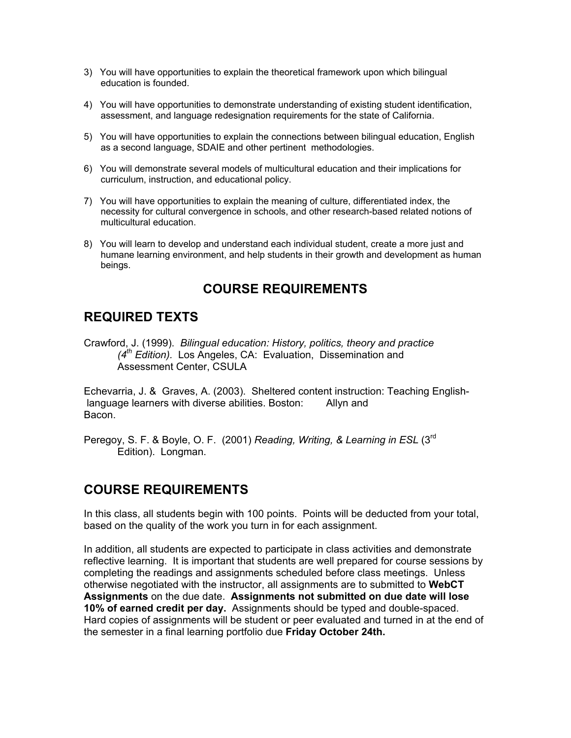- 3) You will have opportunities to explain the theoretical framework upon which bilingual education is founded.
- 4) You will have opportunities to demonstrate understanding of existing student identification, assessment, and language redesignation requirements for the state of California.
- 5) You will have opportunities to explain the connections between bilingual education, English as a second language, SDAIE and other pertinent methodologies.
- 6) You will demonstrate several models of multicultural education and their implications for curriculum, instruction, and educational policy.
- 7) You will have opportunities to explain the meaning of culture, differentiated index, the necessity for cultural convergence in schools, and other research-based related notions of multicultural education.
- 8) You will learn to develop and understand each individual student, create a more just and humane learning environment, and help students in their growth and development as human beings.

## **COURSE REQUIREMENTS**

## **REQUIRED TEXTS**

Crawford, J. (1999). *Bilingual education: History, politics, theory and practice (4th Edition).* Los Angeles, CA: Evaluation, Dissemination and Assessment Center, CSULA

Echevarria, J. & Graves, A. (2003). Sheltered content instruction: Teaching English language learners with diverse abilities. Boston: Allyn and Bacon.

Peregoy, S. F. & Boyle, O. F. (2001) *Reading, Writing, & Learning in ESL* (3rd Edition). Longman.

### **COURSE REQUIREMENTS**

In this class, all students begin with 100 points. Points will be deducted from your total, based on the quality of the work you turn in for each assignment.

In addition, all students are expected to participate in class activities and demonstrate reflective learning. It is important that students are well prepared for course sessions by completing the readings and assignments scheduled before class meetings. Unless otherwise negotiated with the instructor, all assignments are to submitted to **WebCT Assignments** on the due date. **Assignments not submitted on due date will lose 10% of earned credit per day.** Assignments should be typed and double-spaced. Hard copies of assignments will be student or peer evaluated and turned in at the end of the semester in a final learning portfolio due **Friday October 24th.**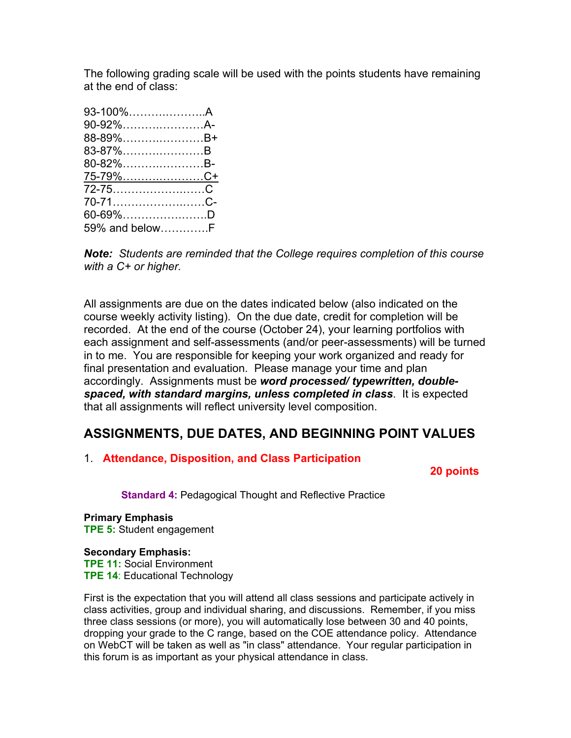The following grading scale will be used with the points students have remaining at the end of class:

| 93-100%A        |  |
|-----------------|--|
| 90-92%A-        |  |
| 88-89%B+        |  |
| 83-87%B         |  |
| 80-82%B-        |  |
| <u>75-79%C+</u> |  |
| 72-75C          |  |
| 70-71C-         |  |
| 60-69%D         |  |
| 59% and belowF  |  |

*Note: Students are reminded that the College requires completion of this course with a C+ or higher.*

All assignments are due on the dates indicated below (also indicated on the course weekly activity listing). On the due date, credit for completion will be recorded. At the end of the course (October 24), your learning portfolios with each assignment and self-assessments (and/or peer-assessments) will be turned in to me. You are responsible for keeping your work organized and ready for final presentation and evaluation. Please manage your time and plan accordingly. Assignments must be *word processed/ typewritten, doublespaced, with standard margins, unless completed in class*. It is expected that all assignments will reflect university level composition.

## **ASSIGNMENTS, DUE DATES, AND BEGINNING POINT VALUES**

### 1. **Attendance, Disposition, and Class Participation**

 **20 points**

**Standard 4: Pedagogical Thought and Reflective Practice** 

**Primary Emphasis TPE 5:** Student engagement

#### **Secondary Emphasis:**

**TPE 11:** Social Environment **TPE 14**: Educational Technology

First is the expectation that you will attend all class sessions and participate actively in class activities, group and individual sharing, and discussions. Remember, if you miss three class sessions (or more), you will automatically lose between 30 and 40 points, dropping your grade to the C range, based on the COE attendance policy. Attendance on WebCT will be taken as well as "in class" attendance. Your regular participation in this forum is as important as your physical attendance in class.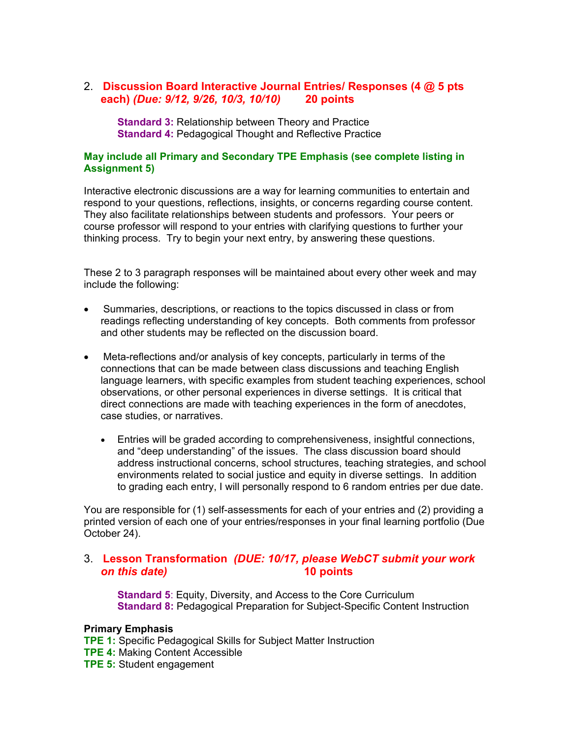### 2. **Discussion Board Interactive Journal Entries/ Responses (4 @ 5 pts each)** *(Due: 9/12, 9/26, 10/3, 10/10)* **20 points**

**Standard 3:** Relationship between Theory and Practice **Standard 4: Pedagogical Thought and Reflective Practice** 

#### **May include all Primary and Secondary TPE Emphasis (see complete listing in Assignment 5)**

Interactive electronic discussions are a way for learning communities to entertain and respond to your questions, reflections, insights, or concerns regarding course content. They also facilitate relationships between students and professors. Your peers or course professor will respond to your entries with clarifying questions to further your thinking process. Try to begin your next entry, by answering these questions.

These 2 to 3 paragraph responses will be maintained about every other week and may include the following:

- Summaries, descriptions, or reactions to the topics discussed in class or from readings reflecting understanding of key concepts. Both comments from professor and other students may be reflected on the discussion board.
- Meta-reflections and/or analysis of key concepts, particularly in terms of the connections that can be made between class discussions and teaching English language learners, with specific examples from student teaching experiences, school observations, or other personal experiences in diverse settings. It is critical that direct connections are made with teaching experiences in the form of anecdotes, case studies, or narratives.
	- Entries will be graded according to comprehensiveness, insightful connections, and "deep understanding" of the issues. The class discussion board should address instructional concerns, school structures, teaching strategies, and school environments related to social justice and equity in diverse settings. In addition to grading each entry, I will personally respond to 6 random entries per due date.

You are responsible for (1) self-assessments for each of your entries and (2) providing a printed version of each one of your entries/responses in your final learning portfolio (Due October 24).

#### 3. **Lesson Transformation** *(DUE: 10/17, please WebCT submit your work on this date)* **10 points**

**Standard 5**: Equity, Diversity, and Access to the Core Curriculum **Standard 8:** Pedagogical Preparation for Subject-Specific Content Instruction

#### **Primary Emphasis**

**TPE 1:** Specific Pedagogical Skills for Subject Matter Instruction **TPE 4:** Making Content Accessible **TPE 5:** Student engagement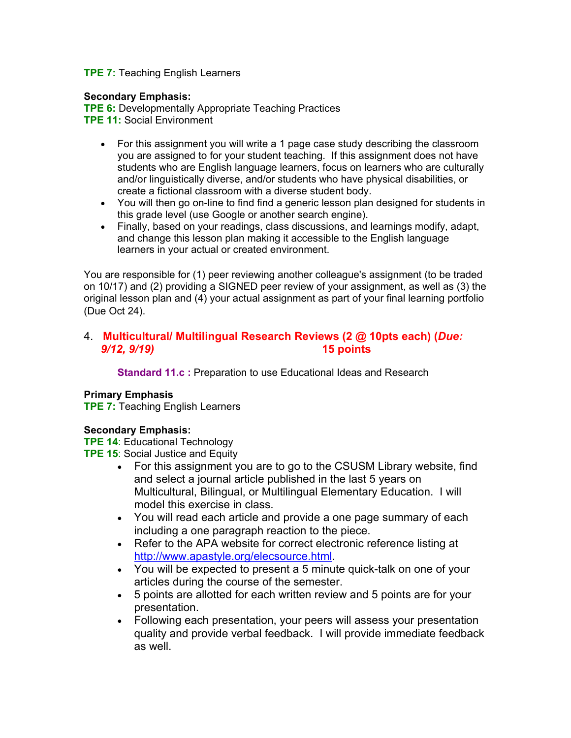#### **TPE 7:** Teaching English Learners

#### **Secondary Emphasis:**

**TPE 6:** Developmentally Appropriate Teaching Practices **TPE 11:** Social Environment

- For this assignment you will write a 1 page case study describing the classroom you are assigned to for your student teaching. If this assignment does not have students who are English language learners, focus on learners who are culturally and/or linguistically diverse, and/or students who have physical disabilities, or create a fictional classroom with a diverse student body.
- You will then go on-line to find find a generic lesson plan designed for students in this grade level (use Google or another search engine).
- Finally, based on your readings, class discussions, and learnings modify, adapt, and change this lesson plan making it accessible to the English language learners in your actual or created environment.

You are responsible for (1) peer reviewing another colleague's assignment (to be traded on 10/17) and (2) providing a SIGNED peer review of your assignment, as well as (3) the original lesson plan and (4) your actual assignment as part of your final learning portfolio (Due Oct 24).

#### 4. **Multicultural/ Multilingual Research Reviews (2 @ 10pts each) (***Due: 9/12, 9/19)* **15 points**

**Standard 11.c :** Preparation to use Educational Ideas and Research

#### **Primary Emphasis**

**TPE 7:** Teaching English Learners

#### **Secondary Emphasis:**

**TPE 14**: Educational Technology

**TPE 15**: Social Justice and Equity

- For this assignment you are to go to the CSUSM Library website, find and select a journal article published in the last 5 years on Multicultural, Bilingual, or Multilingual Elementary Education. I will model this exercise in class.
- You will read each article and provide a one page summary of each including a one paragraph reaction to the piece.
- Refer to the APA website for correct electronic reference listing at <http://www.apastyle.org/elecsource.html>.
- You will be expected to present a 5 minute quick-talk on one of your articles during the course of the semester.
- 5 points are allotted for each written review and 5 points are for your presentation.
- Following each presentation, your peers will assess your presentation quality and provide verbal feedback. I will provide immediate feedback as well.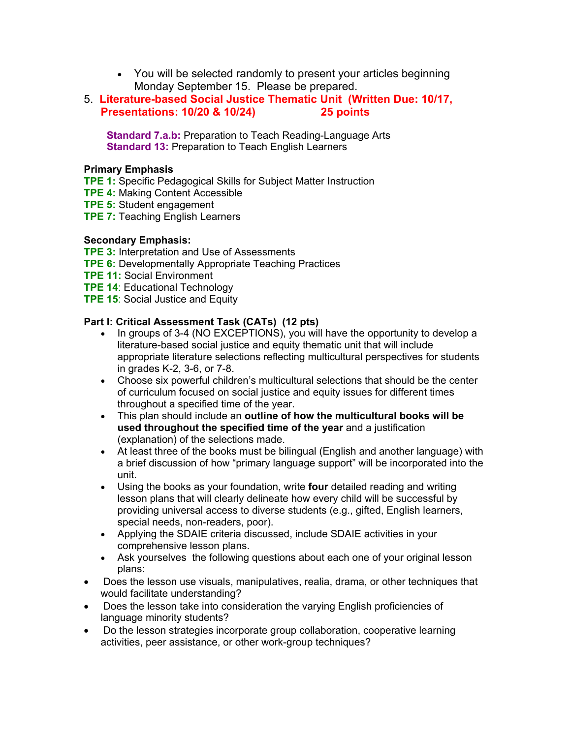- You will be selected randomly to present your articles beginning Monday September 15. Please be prepared.
- 5. **Literature-based Social Justice Thematic Unit (Written Due: 10/17, Presentations: 10/20 & 10/24) 25 points**

 **Standard 7.a.b:** Preparation to Teach Reading-Language Arts **Standard 13:** Preparation to Teach English Learners

#### **Primary Emphasis**

- **TPE 1:** Specific Pedagogical Skills for Subject Matter Instruction
- **TPE 4:** Making Content Accessible
- **TPE 5:** Student engagement
- **TPE 7:** Teaching English Learners

#### **Secondary Emphasis:**

- **TPE 3:** Interpretation and Use of Assessments
- **TPE 6:** Developmentally Appropriate Teaching Practices
- **TPE 11:** Social Environment
- **TPE 14**: Educational Technology
- **TPE 15: Social Justice and Equity**

#### **Part I: Critical Assessment Task (CATs) (12 pts)**

- In groups of 3-4 (NO EXCEPTIONS), you will have the opportunity to develop a literature-based social justice and equity thematic unit that will include appropriate literature selections reflecting multicultural perspectives for students in grades K-2, 3-6, or 7-8.
- Choose six powerful children's multicultural selections that should be the center of curriculum focused on social justice and equity issues for different times throughout a specified time of the year.
- This plan should include an **outline of how the multicultural books will be used throughout the specified time of the year** and a justification (explanation) of the selections made.
- At least three of the books must be bilingual (English and another language) with a brief discussion of how "primary language support" will be incorporated into the unit.
- Using the books as your foundation, write **four** detailed reading and writing lesson plans that will clearly delineate how every child will be successful by providing universal access to diverse students (e.g., gifted, English learners, special needs, non-readers, poor).
- Applying the SDAIE criteria discussed, include SDAIE activities in your comprehensive lesson plans.
- Ask yourselves the following questions about each one of your original lesson plans:
- Does the lesson use visuals, manipulatives, realia, drama, or other techniques that would facilitate understanding?
- Does the lesson take into consideration the varying English proficiencies of language minority students?
- Do the lesson strategies incorporate group collaboration, cooperative learning activities, peer assistance, or other work-group techniques?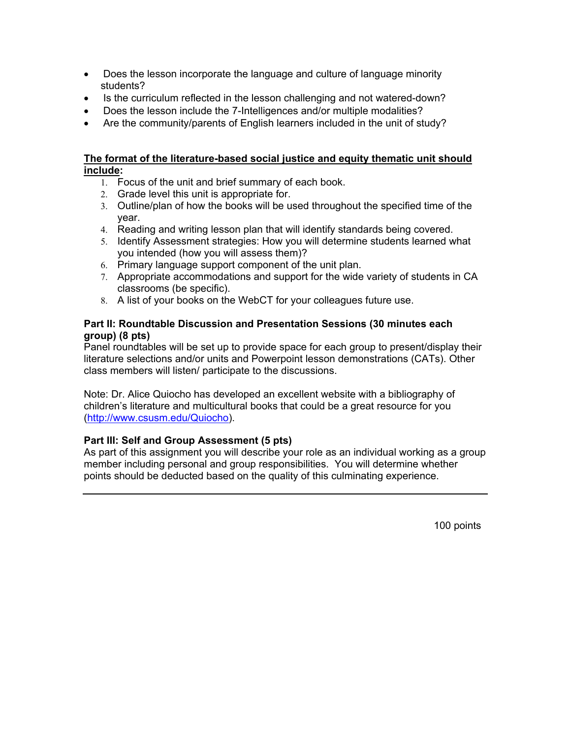- Does the lesson incorporate the language and culture of language minority students?
- Is the curriculum reflected in the lesson challenging and not watered-down?
- Does the lesson include the 7-Intelligences and/or multiple modalities?
- Are the community/parents of English learners included in the unit of study?

#### **The format of the literature-based social justice and equity thematic unit should include:**

- 1. Focus of the unit and brief summary of each book.
- 2. Grade level this unit is appropriate for.
- 3. Outline/plan of how the books will be used throughout the specified time of the year.
- 4. Reading and writing lesson plan that will identify standards being covered.
- 5. Identify Assessment strategies: How you will determine students learned what you intended (how you will assess them)?
- 6. Primary language support component of the unit plan.
- 7. Appropriate accommodations and support for the wide variety of students in CA classrooms (be specific).
- 8. A list of your books on the WebCT for your colleagues future use.

#### **Part II: Roundtable Discussion and Presentation Sessions (30 minutes each group) (8 pts)**

Panel roundtables will be set up to provide space for each group to present/display their literature selections and/or units and Powerpoint lesson demonstrations (CATs). Other class members will listen/ participate to the discussions.

Note: Dr. Alice Quiocho has developed an excellent website with a bibliography of children's literature and multicultural books that could be a great resource for you (<http://www.csusm.edu/Quiocho>).

### **Part III: Self and Group Assessment (5 pts)**

As part of this assignment you will describe your role as an individual working as a group member including personal and group responsibilities. You will determine whether points should be deducted based on the quality of this culminating experience.

100 points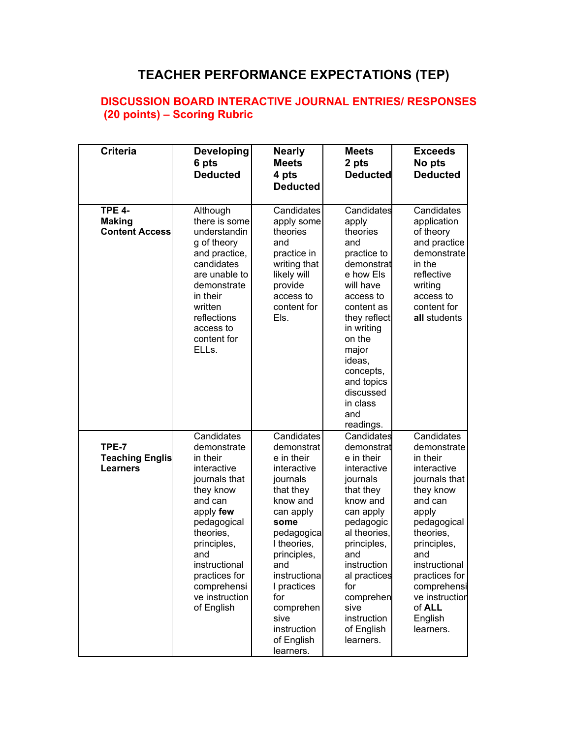# **TEACHER PERFORMANCE EXPECTATIONS (TEP)**

### **DISCUSSION BOARD INTERACTIVE JOURNAL ENTRIES/ RESPONSES (20 points) – Scoring Rubric**

| <b>Criteria</b>                                         | <b>Developing</b><br>6 pts<br><b>Deducted</b>                                                                                                                                                                                                 | <b>Nearly</b><br><b>Meets</b><br>4 pts<br><b>Deducted</b>                                                                                                                                                                                                               | <b>Meets</b><br>2 pts<br><b>Deducted</b>                                                                                                                                                                                                                        | <b>Exceeds</b><br>No pts<br><b>Deducted</b>                                                                                                                                                                                                                   |
|---------------------------------------------------------|-----------------------------------------------------------------------------------------------------------------------------------------------------------------------------------------------------------------------------------------------|-------------------------------------------------------------------------------------------------------------------------------------------------------------------------------------------------------------------------------------------------------------------------|-----------------------------------------------------------------------------------------------------------------------------------------------------------------------------------------------------------------------------------------------------------------|---------------------------------------------------------------------------------------------------------------------------------------------------------------------------------------------------------------------------------------------------------------|
| <b>TPE 4-</b><br><b>Making</b><br><b>Content Access</b> | Although<br>there is some<br>understandin<br>g of theory<br>and practice,<br>candidates<br>are unable to<br>demonstrate<br>in their<br>written<br>reflections<br>access to<br>content for<br>ELLs.                                            | Candidates<br>apply some<br>theories<br>and<br>practice in<br>writing that<br>likely will<br>provide<br>access to<br>content for<br>Els.                                                                                                                                | Candidates<br>apply<br>theories<br>and<br>practice to<br>demonstrat<br>e how Els<br>will have<br>access to<br>content as<br>they reflect<br>in writing<br>on the<br>major<br>ideas,<br>concepts,<br>and topics<br>discussed<br>in class<br>and<br>readings.     | Candidates<br>application<br>of theory<br>and practice<br>demonstrate<br>in the<br>reflective<br>writing<br>access to<br>content for<br>all students                                                                                                          |
| TPE-7<br><b>Teaching Englis</b><br><b>Learners</b>      | Candidates<br>demonstrate<br>in their<br>interactive<br>journals that<br>they know<br>and can<br>apply few<br>pedagogical<br>theories,<br>principles,<br>and<br>instructional<br>practices for<br>comprehensi<br>ve instruction<br>of English | Candidates<br>demonstrat<br>e in their<br>interactive<br>journals<br>that they<br>know and<br>can apply<br>some<br>pedagogica<br>I theories.<br>principles,<br>and<br>instructiona<br>I practices<br>for<br>comprehen<br>sive<br>instruction<br>of English<br>learners. | Candidates<br>demonstrat<br>e in their<br>interactive<br>journals<br>that they<br>know and<br>can apply<br>pedagogic<br>al theories,<br>principles,<br>and<br>instruction<br>al practices<br>for<br>comprehen<br>sive<br>instruction<br>of English<br>learners. | Candidates<br>demonstrate<br>in their<br>interactive<br>journals that<br>they know<br>and can<br>apply<br>pedagogical<br>theories.<br>principles,<br>and<br>instructional<br>practices for<br>comprehensi<br>ve instruction<br>of ALL<br>English<br>learners. |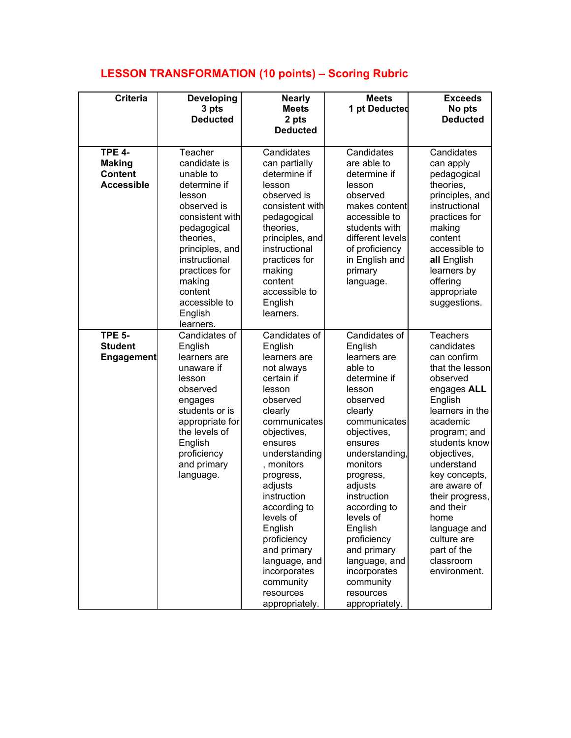# **LESSON TRANSFORMATION (10 points) – Scoring Rubric**

| <b>Criteria</b>                                                       | <b>Developing</b><br>3 pts<br><b>Deducted</b>                                                                                                                                                                                                   | <b>Nearly</b><br><b>Meets</b><br>2 pts<br><b>Deducted</b>                                                                                                                                                                                                                                                                                                                | <b>Meets</b><br>1 pt Deducted                                                                                                                                                                                                                                                                                                                                          | <b>Exceeds</b><br>No pts<br><b>Deducted</b>                                                                                                                                                                                                                                                                                                            |
|-----------------------------------------------------------------------|-------------------------------------------------------------------------------------------------------------------------------------------------------------------------------------------------------------------------------------------------|--------------------------------------------------------------------------------------------------------------------------------------------------------------------------------------------------------------------------------------------------------------------------------------------------------------------------------------------------------------------------|------------------------------------------------------------------------------------------------------------------------------------------------------------------------------------------------------------------------------------------------------------------------------------------------------------------------------------------------------------------------|--------------------------------------------------------------------------------------------------------------------------------------------------------------------------------------------------------------------------------------------------------------------------------------------------------------------------------------------------------|
| <b>TPE 4-</b><br><b>Making</b><br><b>Content</b><br><b>Accessible</b> | Teacher<br>candidate is<br>unable to<br>determine if<br>lesson<br>observed is<br>consistent with<br>pedagogical<br>theories,<br>principles, and<br>instructional<br>practices for<br>making<br>content<br>accessible to<br>English<br>learners. | Candidates<br>can partially<br>determine if<br>lesson<br>observed is<br>consistent with<br>pedagogical<br>theories,<br>principles, and<br>instructional<br>practices for<br>making<br>content<br>accessible to<br>English<br>learners.                                                                                                                                   | Candidates<br>are able to<br>determine if<br>lesson<br>observed<br>makes content<br>accessible to<br>students with<br>different levels<br>of proficiency<br>in English and<br>primary<br>language.                                                                                                                                                                     | Candidates<br>can apply<br>pedagogical<br>theories,<br>principles, and<br>instructional<br>practices for<br>making<br>content<br>accessible to<br>all English<br>learners by<br>offering<br>appropriate<br>suggestions.                                                                                                                                |
| <b>TPE 5-</b><br><b>Student</b><br><b>Engagement</b>                  | Candidates of<br>English<br>learners are<br>unaware if<br>lesson<br>observed<br>engages<br>students or is<br>appropriate for<br>the levels of<br>English<br>proficiency<br>and primary<br>language.                                             | Candidates of<br>English<br>learners are<br>not always<br>certain if<br>lesson<br>observed<br>clearly<br>communicates<br>objectives,<br>ensures<br>understanding<br>, monitors<br>progress,<br>adjusts<br>instruction<br>according to<br>levels of<br>English<br>proficiency<br>and primary<br>language, and<br>incorporates<br>community<br>resources<br>appropriately. | Candidates of<br>English<br>learners are<br>able to<br>determine if<br>lesson<br>observed<br>clearly<br>communicates<br>objectives,<br>ensures<br>understanding,<br>monitors<br>progress,<br>adjusts<br>instruction<br>according to<br>levels of<br>English<br>proficiency<br>and primary<br>language, and<br>incorporates<br>community<br>resources<br>appropriately. | <b>Teachers</b><br>candidates<br>can confirm<br>that the lesson<br>observed<br>engages ALL<br>English<br>learners in the<br>academic<br>program; and<br>students know<br>objectives,<br>understand<br>key concepts,<br>are aware of<br>their progress,<br>and their<br>home<br>language and<br>culture are<br>part of the<br>classroom<br>environment. |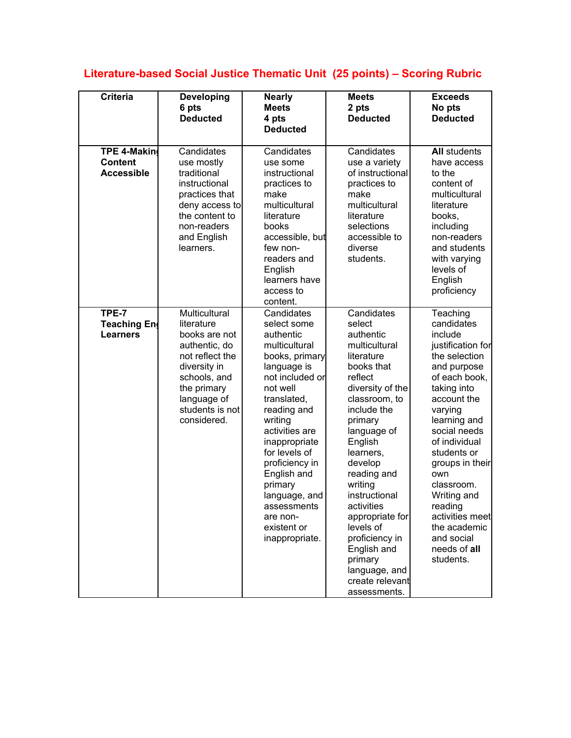# **Literature-based Social Justice Thematic Unit (25 points) – Scoring Rubric**

| <b>Criteria</b>                                            | <b>Developing</b><br>6 pts<br><b>Deducted</b>                                                                                                                                    | <b>Nearly</b><br><b>Meets</b><br>4 pts<br><b>Deducted</b>                                                                                                                                                                                                                                                                                     | <b>Meets</b><br>2 pts<br><b>Deducted</b>                                                                                                                                                                                                                                                                                                                                                            | <b>Exceeds</b><br>No pts<br><b>Deducted</b>                                                                                                                                                                                                                                                                                                                      |
|------------------------------------------------------------|----------------------------------------------------------------------------------------------------------------------------------------------------------------------------------|-----------------------------------------------------------------------------------------------------------------------------------------------------------------------------------------------------------------------------------------------------------------------------------------------------------------------------------------------|-----------------------------------------------------------------------------------------------------------------------------------------------------------------------------------------------------------------------------------------------------------------------------------------------------------------------------------------------------------------------------------------------------|------------------------------------------------------------------------------------------------------------------------------------------------------------------------------------------------------------------------------------------------------------------------------------------------------------------------------------------------------------------|
| <b>TPE 4-Makind</b><br><b>Content</b><br><b>Accessible</b> | Candidates<br>use mostly<br>traditional<br>instructional<br>practices that<br>deny access to<br>the content to<br>non-readers<br>and English<br>learners.                        | Candidates<br>use some<br>instructional<br>practices to<br>make<br>multicultural<br>literature<br>books<br>accessible, but<br>few non-<br>readers and<br>English<br>learners have<br>access to<br>content.                                                                                                                                    | Candidates<br>use a variety<br>of instructional<br>practices to<br>make<br>multicultural<br>literature<br>selections<br>accessible to<br>diverse<br>students.                                                                                                                                                                                                                                       | <b>All students</b><br>have access<br>to the<br>content of<br>multicultural<br>literature<br>books,<br>including<br>non-readers<br>and students<br>with varying<br>levels of<br>English<br>proficiency                                                                                                                                                           |
| TPE-7<br>Teaching En<br><b>Learners</b>                    | Multicultural<br>literature<br>books are not<br>authentic, do<br>not reflect the<br>diversity in<br>schools, and<br>the primary<br>language of<br>students is not<br>considered. | Candidates<br>select some<br>authentic<br>multicultural<br>books, primary<br>language is<br>not included or<br>not well<br>translated,<br>reading and<br>writing<br>activities are<br>inappropriate<br>for levels of<br>proficiency in<br>English and<br>primary<br>language, and<br>assessments<br>are non-<br>existent or<br>inappropriate. | Candidates<br>select<br>authentic<br>multicultural<br>literature<br>books that<br>reflect<br>diversity of the<br>classroom, to<br>include the<br>primary<br>language of<br>English<br>learners,<br>develop<br>reading and<br>writing<br>instructional<br>activities<br>appropriate for<br>levels of<br>proficiency in<br>English and<br>primary<br>language, and<br>create relevant<br>assessments. | Teaching<br>candidates<br>include<br>justification for<br>the selection<br>and purpose<br>of each book,<br>taking into<br>account the<br>varying<br>learning and<br>social needs<br>of individual<br>students or<br>groups in their<br>own<br>classroom.<br>Writing and<br>reading<br>activities meet<br>the academic<br>and social<br>needs of all<br>students. |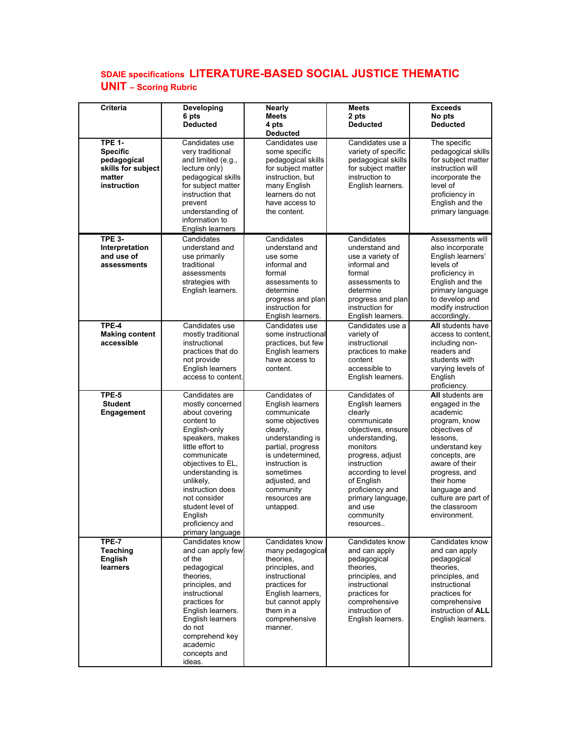### **SDAIE specifications LITERATURE-BASED SOCIAL JUSTICE THEMATIC UNIT – Scoring Rubric**

| <b>Criteria</b>                                                                                | Developing<br>6 pts<br><b>Deducted</b>                                                                                                                                                                                                                                                                   | <b>Nearly</b><br><b>Meets</b><br>4 pts<br><b>Deducted</b>                                                                                                                                                                               | <b>Meets</b><br>2 pts<br><b>Deducted</b>                                                                                                                                                                                                                            | <b>Exceeds</b><br>No pts<br><b>Deducted</b>                                                                                                                                                                                                              |
|------------------------------------------------------------------------------------------------|----------------------------------------------------------------------------------------------------------------------------------------------------------------------------------------------------------------------------------------------------------------------------------------------------------|-----------------------------------------------------------------------------------------------------------------------------------------------------------------------------------------------------------------------------------------|---------------------------------------------------------------------------------------------------------------------------------------------------------------------------------------------------------------------------------------------------------------------|----------------------------------------------------------------------------------------------------------------------------------------------------------------------------------------------------------------------------------------------------------|
| <b>TPE 1-</b><br><b>Specific</b><br>pedagogical<br>skills for subject<br>matter<br>instruction | Candidates use<br>very traditional<br>and limited (e.g.,<br>lecture only)<br>pedagogical skills<br>for subject matter<br>instruction that<br>prevent<br>understanding of<br>information to<br>English learners                                                                                           | Candidates use<br>some specific<br>pedagogical skills<br>for subject matter<br>instruction, but<br>many English<br>learners do not<br>have access to<br>the content.                                                                    | Candidates use a<br>variety of specific<br>pedagogical skills<br>for subject matter<br>instruction to<br>English learners.                                                                                                                                          | The specific<br>pedagogical skills<br>for subject matter<br>instruction will<br>incorporate the<br>level of<br>proficiency in<br>English and the<br>primary language.                                                                                    |
| <b>TPE 3-</b><br>Interpretation<br>and use of<br>assessments                                   | Candidates<br>understand and<br>use primarily<br>traditional<br>assessments<br>strategies with<br>English learners.                                                                                                                                                                                      | Candidates<br>understand and<br>use some<br>informal and<br>formal<br>assessments to<br>determine<br>progress and plan<br>instruction for<br>English learners.                                                                          | Candidates<br>understand and<br>use a variety of<br>informal and<br>formal<br>assessments to<br>determine<br>progress and plan<br>instruction for<br>English learners.                                                                                              | Assessments will<br>also incorporate<br>English learners'<br>levels of<br>proficiency in<br>English and the<br>primary language<br>to develop and<br>modify instruction<br>accordingly.                                                                  |
| TPE-4<br><b>Making content</b><br>accessible                                                   | Candidates use<br>mostly traditional<br>instructional<br>practices that do<br>not provide<br>English learners<br>access to content.                                                                                                                                                                      | Candidates use<br>some instructional<br>practices, but few<br>English learners<br>have access to<br>content.                                                                                                                            | Candidates use a<br>variety of<br>instructional<br>practices to make<br>content<br>accessible to<br>English learners.                                                                                                                                               | All students have<br>access to content.<br>including non-<br>readers and<br>students with<br>varying levels of<br>English<br>proficiency.                                                                                                                |
| TPE-5<br><b>Student</b><br><b>Engagement</b>                                                   | Candidates are<br>mostly concerned<br>about covering<br>content to<br>English-only<br>speakers, makes<br>little effort to<br>communicate<br>objectives to EL,<br>understanding is<br>unlikely,<br>instruction does<br>not consider<br>student level of<br>English<br>proficiency and<br>primary language | Candidates of<br>English learners<br>communicate<br>some objectives<br>clearly,<br>understanding is<br>partial, progress<br>is undetermined.<br>instruction is<br>sometimes<br>adjusted, and<br>community<br>resources are<br>untapped. | Candidates of<br>English learners<br>clearly<br>communicate<br>objectives, ensure<br>understanding,<br>monitors<br>progress, adjust<br>instruction<br>according to level<br>of English<br>proficiency and<br>primary language,<br>and use<br>community<br>resources | All students are<br>engaged in the<br>academic<br>program, know<br>objectives of<br>lessons,<br>understand key<br>concepts, are<br>aware of their<br>progress, and<br>their home<br>language and<br>culture are part of<br>the classroom<br>environment. |
| <b>TPE-7</b><br>Teaching<br><b>English</b><br>learners                                         | Candidates know<br>and can apply few<br>of the<br>pedagogical<br>theories,<br>principles, and<br>instructional<br>practices for<br>English learners.<br>English learners<br>do not<br>comprehend key<br>academic<br>concepts and<br>ideas.                                                               | Candidates know<br>many pedagogical<br>theories,<br>principles, and<br>instructional<br>practices for<br>English learners,<br>but cannot apply<br>them in a<br>comprehensive<br>manner.                                                 | Candidates know<br>and can apply<br>pedagogical<br>theories.<br>principles, and<br>instructional<br>practices for<br>comprehensive<br>instruction of<br>English learners.                                                                                           | Candidates know<br>and can apply<br>pedagogical<br>theories.<br>principles, and<br>instructional<br>practices for<br>comprehensive<br>instruction of ALL<br>English learners.                                                                            |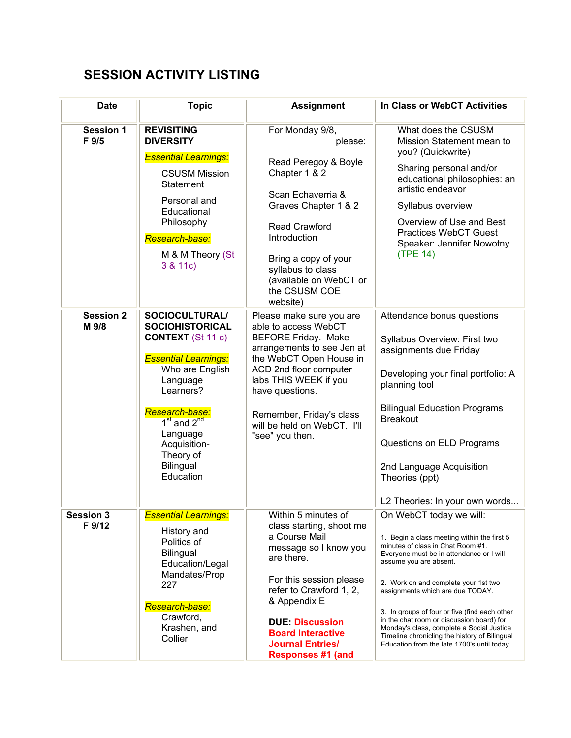## **SESSION ACTIVITY LISTING**

| <b>Date</b>                | <b>Topic</b>                                                                                                                                                                                                                                                   | <b>Assignment</b>                                                                                                                                                                                                                                                                           | In Class or WebCT Activities                                                                                                                                                                                                                                                                                                                                                                                                                                                                             |
|----------------------------|----------------------------------------------------------------------------------------------------------------------------------------------------------------------------------------------------------------------------------------------------------------|---------------------------------------------------------------------------------------------------------------------------------------------------------------------------------------------------------------------------------------------------------------------------------------------|----------------------------------------------------------------------------------------------------------------------------------------------------------------------------------------------------------------------------------------------------------------------------------------------------------------------------------------------------------------------------------------------------------------------------------------------------------------------------------------------------------|
| <b>Session 1</b><br>F 9/5  | <b>REVISITING</b><br><b>DIVERSITY</b>                                                                                                                                                                                                                          | For Monday 9/8,<br>please:                                                                                                                                                                                                                                                                  | What does the CSUSM<br>Mission Statement mean to<br>you? (Quickwrite)                                                                                                                                                                                                                                                                                                                                                                                                                                    |
|                            | <b>Essential Learnings:</b><br><b>CSUSM Mission</b><br>Statement<br>Personal and<br>Educational<br>Philosophy<br>Research-base:<br>M & M Theory (St<br>3 & 11c)                                                                                                | Read Peregoy & Boyle<br>Chapter 1 & 2<br>Scan Echaverria &<br>Graves Chapter 1 & 2<br><b>Read Crawford</b><br>Introduction<br>Bring a copy of your<br>syllabus to class<br>(available on WebCT or<br>the CSUSM COE<br>website)                                                              | Sharing personal and/or<br>educational philosophies: an<br>artistic endeavor<br>Syllabus overview<br>Overview of Use and Best<br><b>Practices WebCT Guest</b><br>Speaker: Jennifer Nowotny<br>(TPE 14)                                                                                                                                                                                                                                                                                                   |
| <b>Session 2</b><br>M 9/8  | SOCIOCULTURAL/<br><b>SOCIOHISTORICAL</b><br><b>CONTEXT</b> (St 11 c)<br><b>Essential Learnings:</b><br>Who are English<br>Language<br>Learners?<br>Research-base:<br>$1st$ and $2nd$<br>Language<br>Acquisition-<br>Theory of<br><b>Bilingual</b><br>Education | Please make sure you are<br>able to access WebCT<br><b>BEFORE Friday. Make</b><br>arrangements to see Jen at<br>the WebCT Open House in<br>ACD 2nd floor computer<br>labs THIS WEEK if you<br>have questions.<br>Remember, Friday's class<br>will be held on WebCT. I'll<br>"see" you then. | Attendance bonus questions<br>Syllabus Overview: First two<br>assignments due Friday<br>Developing your final portfolio: A<br>planning tool<br><b>Bilingual Education Programs</b><br><b>Breakout</b><br>Questions on ELD Programs<br>2nd Language Acquisition<br>Theories (ppt)<br>L2 Theories: In your own words                                                                                                                                                                                       |
| <b>Session 3</b><br>F 9/12 | <b>Essential Learnings:</b><br>History and<br>Politics of<br><b>Bilingual</b><br>Education/Legal<br>Mandates/Prop<br>227<br>Research-base:<br>Crawford,<br>Krashen, and<br>Collier                                                                             | Within 5 minutes of<br>class starting, shoot me<br>a Course Mail<br>message so I know you<br>are there.<br>For this session please<br>refer to Crawford 1, 2,<br>& Appendix E<br><b>DUE: Discussion</b><br><b>Board Interactive</b><br><b>Journal Entries/</b><br><b>Responses #1 (and</b>  | On WebCT today we will:<br>1. Begin a class meeting within the first 5<br>minutes of class in Chat Room #1.<br>Everyone must be in attendance or I will<br>assume you are absent.<br>2. Work on and complete your 1st two<br>assignments which are due TODAY.<br>3. In groups of four or five (find each other<br>in the chat room or discussion board) for<br>Monday's class, complete a Social Justice<br>Timeline chronicling the history of Bilingual<br>Education from the late 1700's until today. |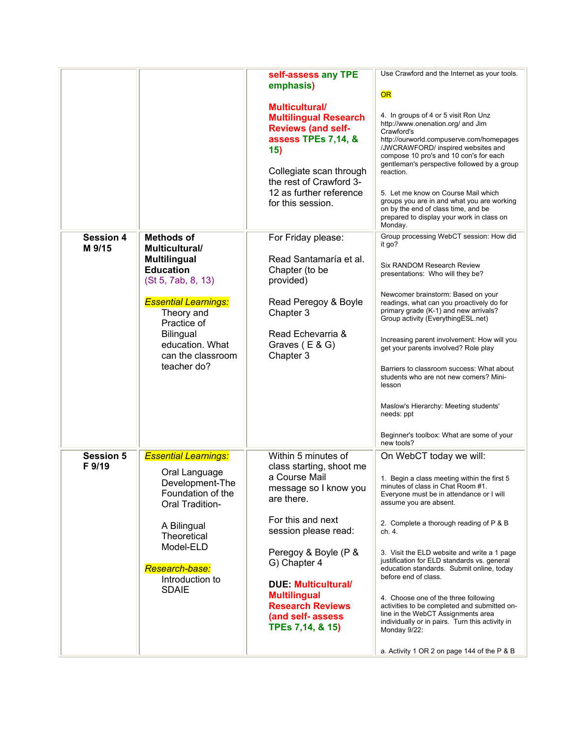| <b>Session 4</b><br>M 9/15 | <b>Methods of</b><br><b>Multicultural/</b><br><b>Multilingual</b><br><b>Education</b><br>(St 5, 7ab, 8, 13)<br><b>Essential Learnings:</b><br>Theory and<br>Practice of<br><b>Bilingual</b><br>education. What<br>can the classroom<br>teacher do? | self-assess any TPE<br>emphasis)<br><b>Multicultural/</b><br><b>Multilingual Research</b><br><b>Reviews (and self-</b><br>assess TPEs 7,14, &<br>15)<br>Collegiate scan through<br>the rest of Crawford 3-<br>12 as further reference<br>for this session.<br>For Friday please:<br>Read Santamaría et al.<br>Chapter (to be<br>provided)<br>Read Peregoy & Boyle<br>Chapter 3<br>Read Echevarria &<br>Graves (E & G)<br>Chapter 3 | Use Crawford and the Internet as your tools.<br>OR<br>4. In groups of 4 or 5 visit Ron Unz<br>http://www.onenation.org/ and Jim<br>Crawford's<br>http://ourworld.compuserve.com/homepages<br>/JWCRAWFORD/ inspired websites and<br>compose 10 pro's and 10 con's for each<br>gentleman's perspective followed by a group<br>reaction.<br>5. Let me know on Course Mail which<br>groups you are in and what you are working<br>on by the end of class time, and be<br>prepared to display your work in class on<br>Monday.<br>Group processing WebCT session: How did<br>it go?<br>Six RANDOM Research Review<br>presentations: Who will they be?<br>Newcomer brainstorm: Based on your<br>readings, what can you proactively do for<br>primary grade (K-1) and new arrivals?<br>Group activity (EverythingESL.net)<br>Increasing parent involvement: How will you<br>get your parents involved? Role play<br>Barriers to classroom success: What about<br>students who are not new comers? Mini-<br>lesson<br>Maslow's Hierarchy: Meeting students'<br>needs: ppt<br>Beginner's toolbox: What are some of your<br>new tools? |
|----------------------------|----------------------------------------------------------------------------------------------------------------------------------------------------------------------------------------------------------------------------------------------------|------------------------------------------------------------------------------------------------------------------------------------------------------------------------------------------------------------------------------------------------------------------------------------------------------------------------------------------------------------------------------------------------------------------------------------|------------------------------------------------------------------------------------------------------------------------------------------------------------------------------------------------------------------------------------------------------------------------------------------------------------------------------------------------------------------------------------------------------------------------------------------------------------------------------------------------------------------------------------------------------------------------------------------------------------------------------------------------------------------------------------------------------------------------------------------------------------------------------------------------------------------------------------------------------------------------------------------------------------------------------------------------------------------------------------------------------------------------------------------------------------------------------------------------------------------------------|
| <b>Session 5</b><br>F 9/19 | <b>Essential Learnings:</b><br>Oral Language<br>Development-The<br>Foundation of the<br><b>Oral Tradition-</b><br>A Bilingual<br>Theoretical<br>Model-ELD<br>Research-base:<br>Introduction to<br><b>SDAIE</b>                                     | Within 5 minutes of<br>class starting, shoot me<br>a Course Mail<br>message so I know you<br>are there.<br>For this and next<br>session please read:<br>Peregoy & Boyle (P &<br>G) Chapter 4<br><b>DUE Multicultural/</b><br><b>Multilingual</b><br><b>Research Reviews</b><br>(and self-assess<br>TPEs 7,14, & 15)                                                                                                                | On WebCT today we will:<br>1. Begin a class meeting within the first 5<br>minutes of class in Chat Room #1.<br>Everyone must be in attendance or I will<br>assume you are absent.<br>2. Complete a thorough reading of P & B<br>ch. 4.<br>3. Visit the ELD website and write a 1 page<br>justification for ELD standards vs. general<br>education standards. Submit online, today<br>before end of class.<br>4. Choose one of the three following<br>activities to be completed and submitted on-<br>line in the WebCT Assignments area<br>individually or in pairs. Turn this activity in<br>Monday 9/22:                                                                                                                                                                                                                                                                                                                                                                                                                                                                                                                   |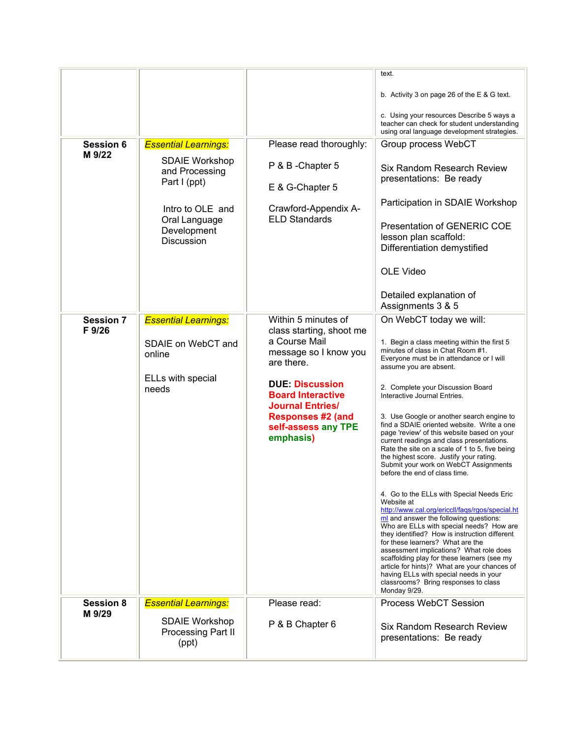| <b>Session 6</b><br>M 9/22 | <b>Essential Learnings:</b><br><b>SDAIE Workshop</b><br>and Processing<br>Part I (ppt)<br>Intro to OLE and<br>Oral Language<br>Development<br><b>Discussion</b> | Please read thoroughly:<br>P & B - Chapter 5<br>E & G-Chapter 5<br>Crawford-Appendix A-<br><b>ELD Standards</b>                                                                                                                                          | text.<br>b. Activity 3 on page 26 of the E & G text.<br>c. Using your resources Describe 5 ways a<br>teacher can check for student understanding<br>using oral language development strategies.<br>Group process WebCT<br>Six Random Research Review<br>presentations: Be ready<br>Participation in SDAIE Workshop<br>Presentation of GENERIC COE<br>lesson plan scaffold:<br>Differentiation demystified<br><b>OLE Video</b><br>Detailed explanation of<br>Assignments 3 & 5                                                                                                                                                                                                                                                                                                                                                                                                                                                                                                                                                                                                                                                                             |
|----------------------------|-----------------------------------------------------------------------------------------------------------------------------------------------------------------|----------------------------------------------------------------------------------------------------------------------------------------------------------------------------------------------------------------------------------------------------------|-----------------------------------------------------------------------------------------------------------------------------------------------------------------------------------------------------------------------------------------------------------------------------------------------------------------------------------------------------------------------------------------------------------------------------------------------------------------------------------------------------------------------------------------------------------------------------------------------------------------------------------------------------------------------------------------------------------------------------------------------------------------------------------------------------------------------------------------------------------------------------------------------------------------------------------------------------------------------------------------------------------------------------------------------------------------------------------------------------------------------------------------------------------|
| <b>Session 7</b><br>F 9/26 | <b>Essential Learnings:</b><br>SDAIE on WebCT and<br>online<br>ELLs with special<br>needs                                                                       | Within 5 minutes of<br>class starting, shoot me<br>a Course Mail<br>message so I know you<br>are there.<br><b>DUE: Discussion</b><br><b>Board Interactive</b><br><b>Journal Entries/</b><br><b>Responses #2 (and</b><br>self-assess any TPE<br>emphasis) | On WebCT today we will:<br>1. Begin a class meeting within the first 5<br>minutes of class in Chat Room #1.<br>Everyone must be in attendance or I will<br>assume you are absent.<br>2. Complete your Discussion Board<br>Interactive Journal Entries.<br>3. Use Google or another search engine to<br>find a SDAIE oriented website. Write a one<br>page 'review' of this website based on your<br>current readings and class presentations.<br>Rate the site on a scale of 1 to 5, five being<br>the highest score. Justify your rating.<br>Submit your work on WebCT Assignments<br>before the end of class time.<br>4. Go to the ELLs with Special Needs Eric<br>Website at<br>http://www.cal.org/ericcll/faqs/rgos/special.ht<br>ml and answer the following questions:<br>Who are ELLs with special needs? How are<br>they identified? How is instruction different<br>for these learners? What are the<br>assessment implications? What role does<br>scaffolding play for these learners (see my<br>article for hints)? What are your chances of<br>having ELLs with special needs in your<br>classrooms? Bring responses to class<br>Monday 9/29. |
| <b>Session 8</b><br>M 9/29 | <b>Essential Learnings:</b><br><b>SDAIE Workshop</b><br><b>Processing Part II</b><br>(ppt)                                                                      | Please read:<br>P & B Chapter 6                                                                                                                                                                                                                          | <b>Process WebCT Session</b><br>Six Random Research Review<br>presentations: Be ready                                                                                                                                                                                                                                                                                                                                                                                                                                                                                                                                                                                                                                                                                                                                                                                                                                                                                                                                                                                                                                                                     |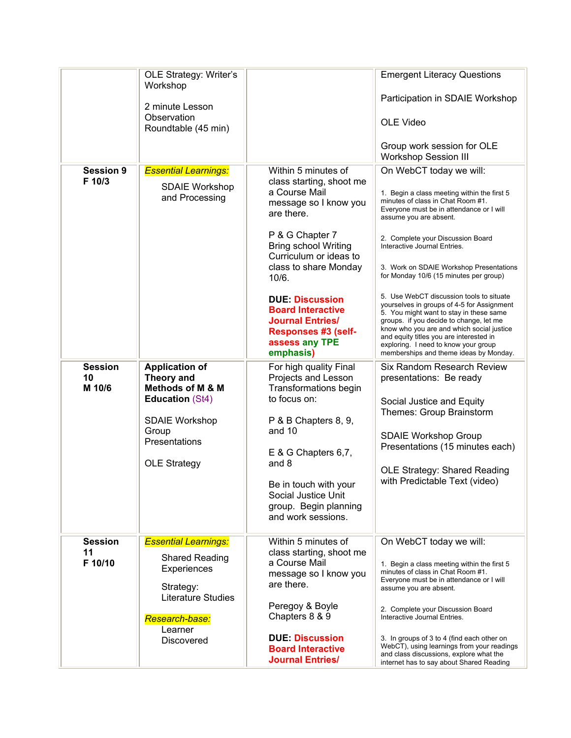|                                 | OLE Strategy: Writer's<br>Workshop<br>2 minute Lesson<br>Observation<br>Roundtable (45 min)                                                                                   |                                                                                                                                                                                                                                                                                                                                                                    | <b>Emergent Literacy Questions</b><br>Participation in SDAIE Workshop<br>OLE Video<br>Group work session for OLE<br><b>Workshop Session III</b>                                                                                                                                                                                                                                                                                                                                                                                                                                                                                                                                                       |
|---------------------------------|-------------------------------------------------------------------------------------------------------------------------------------------------------------------------------|--------------------------------------------------------------------------------------------------------------------------------------------------------------------------------------------------------------------------------------------------------------------------------------------------------------------------------------------------------------------|-------------------------------------------------------------------------------------------------------------------------------------------------------------------------------------------------------------------------------------------------------------------------------------------------------------------------------------------------------------------------------------------------------------------------------------------------------------------------------------------------------------------------------------------------------------------------------------------------------------------------------------------------------------------------------------------------------|
| <b>Session 9</b><br>F 10/3      | <b>Essential Learnings:</b><br><b>SDAIE Workshop</b><br>and Processing                                                                                                        | Within 5 minutes of<br>class starting, shoot me<br>a Course Mail<br>message so I know you<br>are there.<br>P & G Chapter 7<br><b>Bring school Writing</b><br>Curriculum or ideas to<br>class to share Monday<br>10/6.<br><b>DUE Discussion</b><br><b>Board Interactive</b><br><b>Journal Entries/</b><br><b>Responses #3 (self-</b><br>assess any TPE<br>emphasis) | On WebCT today we will:<br>1. Begin a class meeting within the first 5<br>minutes of class in Chat Room #1.<br>Everyone must be in attendance or I will<br>assume you are absent.<br>2. Complete your Discussion Board<br>Interactive Journal Entries.<br>3. Work on SDAIE Workshop Presentations<br>for Monday 10/6 (15 minutes per group)<br>5. Use WebCT discussion tools to situate<br>yourselves in groups of 4-5 for Assignment<br>5. You might want to stay in these same<br>groups. if you decide to change, let me<br>know who you are and which social justice<br>and equity titles you are interested in<br>exploring. I need to know your group<br>memberships and theme ideas by Monday. |
| <b>Session</b><br>10<br>M 10/6  | <b>Application of</b><br><b>Theory and</b><br><b>Methods of M &amp; M</b><br><b>Education (St4)</b><br><b>SDAIE Workshop</b><br>Group<br>Presentations<br><b>OLE Strategy</b> | For high quality Final<br>Projects and Lesson<br>Transformations begin<br>to focus on:<br>P & B Chapters 8, 9,<br>and 10<br>E & G Chapters 6,7,<br>and 8<br>Be in touch with your<br>Social Justice Unit<br>group. Begin planning<br>and work sessions.                                                                                                            | Six Random Research Review<br>presentations: Be ready<br>Social Justice and Equity<br>Themes: Group Brainstorm<br><b>SDAIE Workshop Group</b><br>Presentations (15 minutes each)<br>OLE Strategy: Shared Reading<br>with Predictable Text (video)                                                                                                                                                                                                                                                                                                                                                                                                                                                     |
| <b>Session</b><br>11<br>F 10/10 | <b>Essential Learnings:</b><br><b>Shared Reading</b><br>Experiences<br>Strategy:<br><b>Literature Studies</b><br>Research-base:<br>Learner<br><b>Discovered</b>               | Within 5 minutes of<br>class starting, shoot me<br>a Course Mail<br>message so I know you<br>are there.<br>Peregoy & Boyle<br>Chapters 8 & 9<br><b>DUE: Discussion</b><br><b>Board Interactive</b><br><b>Journal Entries/</b>                                                                                                                                      | On WebCT today we will:<br>1. Begin a class meeting within the first 5<br>minutes of class in Chat Room #1.<br>Everyone must be in attendance or I will<br>assume you are absent.<br>2. Complete your Discussion Board<br>Interactive Journal Entries.<br>3. In groups of 3 to 4 (find each other on<br>WebCT), using learnings from your readings<br>and class discussions, explore what the<br>internet has to say about Shared Reading                                                                                                                                                                                                                                                             |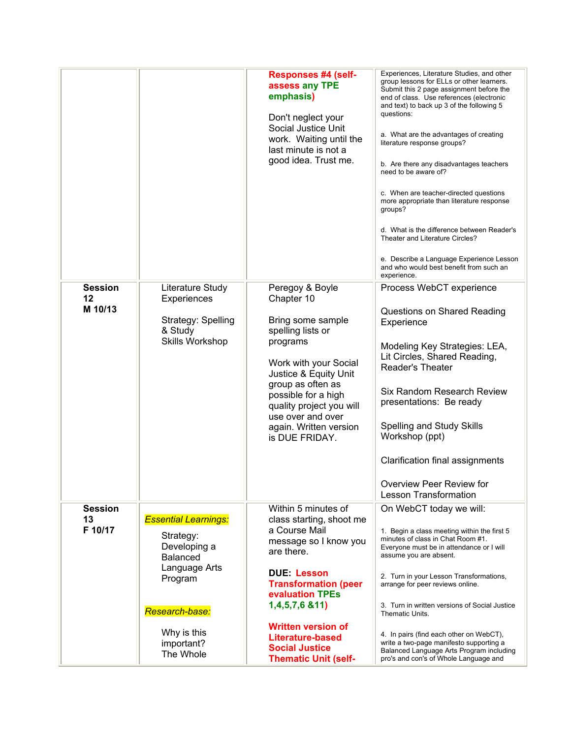|                                 |                                                                                                                                                                     | <b>Responses #4 (self-</b><br>assess any TPE<br>emphasis)<br>Don't neglect your<br>Social Justice Unit<br>work. Waiting until the<br>last minute is not a<br>good idea. Trust me.                                                                                                                                  | Experiences, Literature Studies, and other<br>group lessons for ELLs or other learners.<br>Submit this 2 page assignment before the<br>end of class. Use references (electronic<br>and text) to back up 3 of the following 5<br>questions:<br>a. What are the advantages of creating<br>literature response groups?<br>b. Are there any disadvantages teachers<br>need to be aware of?<br>c. When are teacher-directed questions<br>more appropriate than literature response<br>groups?<br>d. What is the difference between Reader's<br>Theater and Literature Circles?<br>e. Describe a Language Experience Lesson<br>and who would best benefit from such an<br>experience. |
|---------------------------------|---------------------------------------------------------------------------------------------------------------------------------------------------------------------|--------------------------------------------------------------------------------------------------------------------------------------------------------------------------------------------------------------------------------------------------------------------------------------------------------------------|---------------------------------------------------------------------------------------------------------------------------------------------------------------------------------------------------------------------------------------------------------------------------------------------------------------------------------------------------------------------------------------------------------------------------------------------------------------------------------------------------------------------------------------------------------------------------------------------------------------------------------------------------------------------------------|
| <b>Session</b><br>12<br>M 10/13 | Literature Study<br>Experiences<br>Strategy: Spelling<br>& Study<br>Skills Workshop                                                                                 | Peregoy & Boyle<br>Chapter 10<br>Bring some sample<br>spelling lists or<br>programs<br>Work with your Social<br>Justice & Equity Unit<br>group as often as<br>possible for a high<br>quality project you will<br>use over and over<br>again. Written version<br>is DUE FRIDAY.                                     | Process WebCT experience<br>Questions on Shared Reading<br>Experience<br>Modeling Key Strategies: LEA,<br>Lit Circles, Shared Reading,<br><b>Reader's Theater</b><br>Six Random Research Review<br>presentations: Be ready<br>Spelling and Study Skills<br>Workshop (ppt)<br>Clarification final assignments<br>Overview Peer Review for<br><b>Lesson Transformation</b>                                                                                                                                                                                                                                                                                                        |
| <b>Session</b><br>13<br>F 10/17 | <b>Essential Learnings:</b><br>Strategy:<br>Developing a<br><b>Balanced</b><br>Language Arts<br>Program<br>Research-base:<br>Why is this<br>important?<br>The Whole | Within 5 minutes of<br>class starting, shoot me<br>a Course Mail<br>message so I know you<br>are there.<br><b>DUE: Lesson</b><br><b>Transformation (peer</b><br>evaluation TPEs<br>1,4,5,7,6 & 11)<br><b>Written version of</b><br><b>Literature-based</b><br><b>Social Justice</b><br><b>Thematic Unit (self-</b> | On WebCT today we will:<br>1. Begin a class meeting within the first 5<br>minutes of class in Chat Room #1.<br>Everyone must be in attendance or I will<br>assume you are absent.<br>2. Turn in your Lesson Transformations,<br>arrange for peer reviews online.<br>3. Turn in written versions of Social Justice<br>Thematic Units.<br>4. In pairs (find each other on WebCT),<br>write a two-page manifesto supporting a<br>Balanced Language Arts Program including<br>pro's and con's of Whole Language and                                                                                                                                                                 |